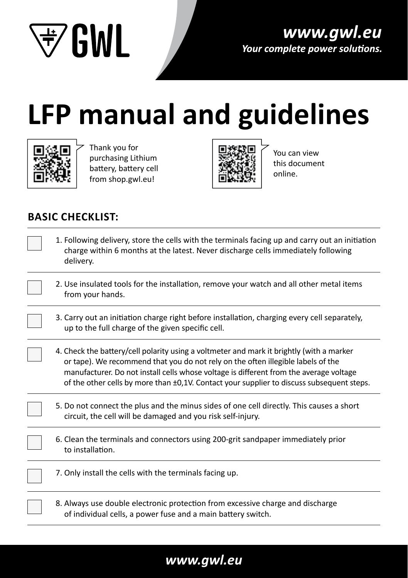

# **LFP manual and guidelines**



Thank you for purchasing Lithium battery, battery cell from shop.gwl.eu!



You can view this document online.

## **BASIC CHECKLIST:**

- 1. Following delivery, store the cells with the terminals facing up and carry out an initiation charge within 6 months at the latest. Never discharge cells immediately following delivery.
- 2. Use insulated tools for the installation, remove your watch and all other metal items from your hands.
- 3. Carry out an initiation charge right before installation, charging every cell separately, up to the full charge of the given specific cell.
- 4. Check the battery/cell polarity using a voltmeter and mark it brightly (with a marker or tape). We recommend that you do not rely on the often illegible labels of the manufacturer. Do not install cells whose voltage is different from the average voltage of the other cells by more than ±0,1V. Contact your supplier to discuss subsequent steps.
- 5. Do not connect the plus and the minus sides of one cell directly. This causes a short circuit, the cell will be damaged and you risk self-injury.
- 6. Clean the terminals and connectors using 200-grit sandpaper immediately prior to installation.

7. Only install the cells with the terminals facing up.

8. Always use double electronic protection from excessive charge and discharge of individual cells, a power fuse and a main battery switch.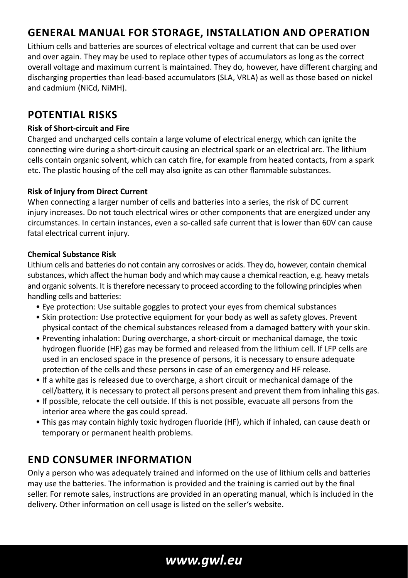## **GENERAL MANUAL FOR STORAGE, INSTALLATION AND OPERATION**

Lithium cells and batteries are sources of electrical voltage and current that can be used over and over again. They may be used to replace other types of accumulators as long as the correct overall voltage and maximum current is maintained. They do, however, have different charging and discharging properties than lead-based accumulators (SLA, VRLA) as well as those based on nickel and cadmium (NiCd, NiMH).

#### **POTENTIAL RISKS**

#### **Risk of Short-circuit and Fire**

Charged and uncharged cells contain a large volume of electrical energy, which can ignite the connecting wire during a short-circuit causing an electrical spark or an electrical arc. The lithium cells contain organic solvent, which can catch fire, for example from heated contacts, from a spark etc. The plastic housing of the cell may also ignite as can other flammable substances.

#### **Risk of Injury from Direct Current**

When connecting a larger number of cells and batteries into a series, the risk of DC current injury increases. Do not touch electrical wires or other components that are energized under any circumstances. In certain instances, even a so-called safe current that is lower than 60V can cause fatal electrical current injury.

#### **Chemical Substance Risk**

Lithium cells and batteries do not contain any corrosives or acids. They do, however, contain chemical substances, which affect the human body and which may cause a chemical reaction, e.g. heavy metals and organic solvents. It is therefore necessary to proceed according to the following principles when handling cells and batteries:

- Eye protection: Use suitable goggles to protect your eyes from chemical substances
- Skin protection: Use protective equipment for your body as well as safety gloves. Prevent physical contact of the chemical substances released from a damaged battery with your skin.
- Preventing inhalation: During overcharge, a short-circuit or mechanical damage, the toxic hydrogen fluoride (HF) gas may be formed and released from the lithium cell. If LFP cells are used in an enclosed space in the presence of persons, it is necessary to ensure adequate protection of the cells and these persons in case of an emergency and HF release.
- If a white gas is released due to overcharge, a short circuit or mechanical damage of the cell/battery, it is necessary to protect all persons present and prevent them from inhaling this gas.
- If possible, relocate the cell outside. If this is not possible, evacuate all persons from the interior area where the gas could spread.
- This gas may contain highly toxic hydrogen fluoride (HF), which if inhaled, can cause death or temporary or permanent health problems.

#### **END CONSUMER INFORMATION**

Only a person who was adequately trained and informed on the use of lithium cells and batteries may use the batteries. The information is provided and the training is carried out by the final seller. For remote sales, instructions are provided in an operating manual, which is included in the delivery. Other information on cell usage is listed on the seller's website.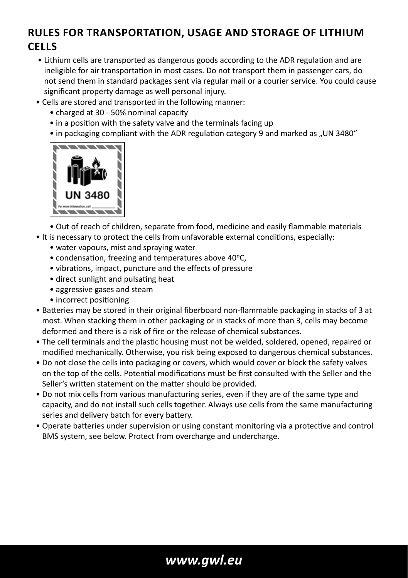## **RULES FOR TRANSPORTATION, USAGE AND STORAGE OF LITHIUM CELLS**

- Lithium cells are transported as dangerous goods according to the ADR regulation and are ineligible for air transportation in most cases. Do not transport them in passenger cars, do not send them in standard packages sent via regular mail or a courier service. You could cause significant property damage as well personal injury.
- Cells are stored and transported in the following manner:
	- charged at 30 50% nominal capacity
	- in a position with the safety valve and the terminals facing up
	- $\bullet$  in packaging compliant with the ADR regulation category 9 and marked as ..UN 3480"



• Out of reach of children, separate from food, medicine and easily flammable materials • It is necessary to protect the cells from unfavorable external conditions, especially:

- water vapours, mist and spraying water
- condensation, freezing and temperatures above 40°C,
- vibrations, impact, puncture and the effects of pressure
- direct sunlight and pulsating heat
- aggressive gases and steam
- incorrect positioning
- Batteries may be stored in their original fiberboard non-flammable packaging in stacks of 3 at most. When stacking them in other packaging or in stacks of more than 3, cells may become deformed and there is a risk of fire or the release of chemical substances.
- The cell terminals and the plastic housing must not be welded, soldered, opened, repaired or modified mechanically. Otherwise, you risk being exposed to dangerous chemical substances.
- Do not close the cells into packaging or covers, which would cover or block the safety valves on the top of the cells. Potential modifications must be first consulted with the Seller and the Seller's written statement on the matter should be provided.
- Do not mix cells from various manufacturing series, even if they are of the same type and capacity, and do not install such cells together. Always use cells from the same manufacturing series and delivery batch for every battery.
- Operate batteries under supervision or using constant monitoring via a protective and control BMS system, see below. Protect from overcharge and undercharge.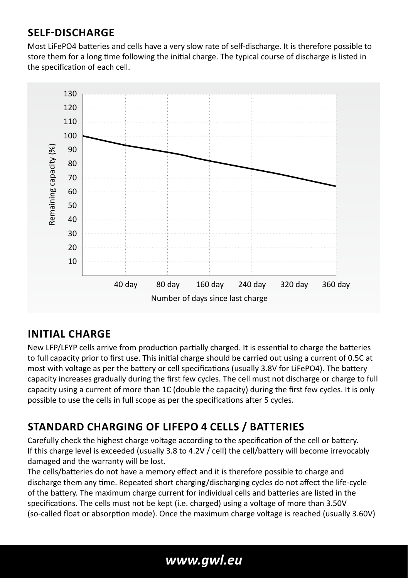## **SELF-DISCHARGE**

Most LiFePO4 batteries and cells have a very slow rate of self-discharge. It is therefore possible to store them for a long time following the initial charge. The typical course of discharge is listed in the specification of each cell.



## **INITIAL CHARGE**

New LFP/LFYP cells arrive from production partially charged. It is essential to charge the batteries to full capacity prior to first use. This initial charge should be carried out using a current of 0.5C at most with voltage as per the battery or cell specifications (usually 3.8V for LiFePO4). The battery capacity increases gradually during the first few cycles. The cell must not discharge or charge to full capacity using a current of more than 1C (double the capacity) during the first few cycles. It is only possible to use the cells in full scope as per the specifications after 5 cycles.

# **STANDARD CHARGING OF LIFEPO 4 CELLS / BATTERIES**

Carefully check the highest charge voltage according to the specification of the cell or battery. If this charge level is exceeded (usually 3.8 to 4.2V / cell) the cell/battery will become irrevocably damaged and the warranty will be lost.

The cells/batteries do not have a memory effect and it is therefore possible to charge and discharge them any time. Repeated short charging/discharging cycles do not affect the life-cycle of the battery. The maximum charge current for individual cells and batteries are listed in the specifications. The cells must not be kept (i.e. charged) using a voltage of more than 3.50V (so-called float or absorption mode). Once the maximum charge voltage is reached (usually 3.60V)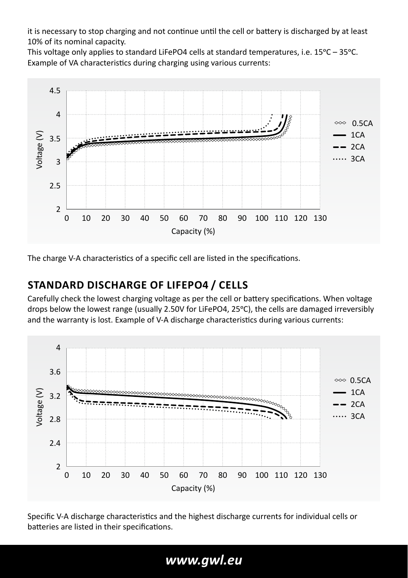it is necessary to stop charging and not continue until the cell or battery is discharged by at least 10% of its nominal capacity.

This voltage only applies to standard LiFePO4 cells at standard temperatures, i.e.  $15^{\circ}$ C –  $35^{\circ}$ C. Example of VA characteristics during charging using various currents:



The charge V-A characteristics of a specific cell are listed in the specifications.

#### **STANDARD DISCHARGE OF LIFEPO4 / CELLS**

Carefully check the lowest charging voltage as per the cell or battery specifications. When voltage drops below the lowest range (usually 2.50V for LiFePO4, 25°C), the cells are damaged irreversibly and the warranty is lost. Example of V-A discharge characteristics during various currents:



Specific V-A discharge characteristics and the highest discharge currents for individual cells or batteries are listed in their specifications.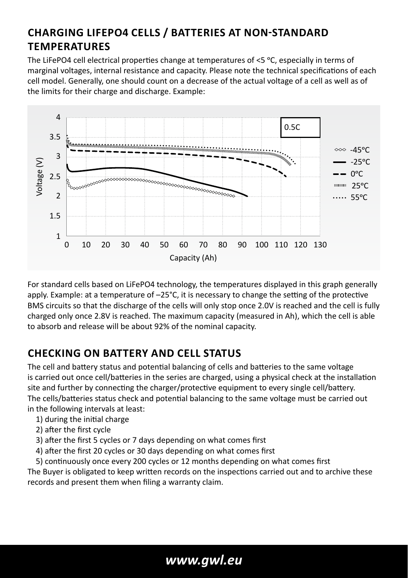# **CHARGING LIFEPO4 CELLS / BATTERIES AT NON-STANDARD TEMPERATURES**

The LiFePO4 cell electrical properties change at temperatures of  $\leq$  °C, especially in terms of marginal voltages, internal resistance and capacity. Please note the technical specifications of each cell model. Generally, one should count on a decrease of the actual voltage of a cell as well as of the limits for their charge and discharge. Example:



For standard cells based on LiFePO4 technology, the temperatures displayed in this graph generally apply. Example: at a temperature of –25°C, it is necessary to change the setting of the protective BMS circuits so that the discharge of the cells will only stop once 2.0V is reached and the cell is fully charged only once 2.8V is reached. The maximum capacity (measured in Ah), which the cell is able to absorb and release will be about 92% of the nominal capacity.

## **CHECKING ON BATTERY AND CELL STATUS**

The cell and battery status and potential balancing of cells and batteries to the same voltage is carried out once cell/batteries in the series are charged, using a physical check at the installation site and further by connecting the charger/protective equipment to every single cell/battery. The cells/batteries status check and potential balancing to the same voltage must be carried out in the following intervals at least:

- 1) during the initial charge
- 2) after the first cycle
- 3) after the first 5 cycles or 7 days depending on what comes first
- 4) after the first 20 cycles or 30 days depending on what comes first
- 5) continuously once every 200 cycles or 12 months depending on what comes first

The Buyer is obligated to keep written records on the inspections carried out and to archive these records and present them when filing a warranty claim.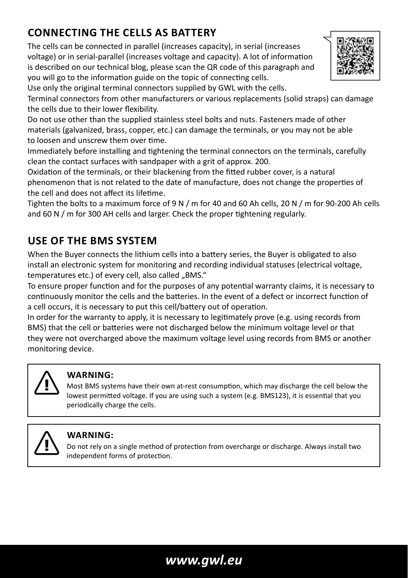# **CONNECTING THE CELLS AS BATTERY**

The cells can be connected in parallel (increases capacity), in serial (increases voltage) or in serial-parallel (increases voltage and capacity). A lot of information is described on our technical blog, please scan the QR code of this paragraph and you will go to the information guide on the topic of connecting cells.



Use only the original terminal connectors supplied by GWL with the cells.

Terminal connectors from other manufacturers or various replacements (solid straps) can damage the cells due to their lower flexibility.

Do not use other than the supplied stainless steel bolts and nuts. Fasteners made of other materials (galvanized, brass, copper, etc.) can damage the terminals, or you may not be able to loosen and unscrew them over time.

Immediately before installing and tightening the terminal connectors on the terminals, carefully clean the contact surfaces with sandpaper with a grit of approx. 200.

Oxidation of the terminals, or their blackening from the fitted rubber cover, is a natural phenomenon that is not related to the date of manufacture, does not change the properties of the cell and does not affect its lifetime.

Tighten the bolts to a maximum force of 9 N / m for 40 and 60 Ah cells, 20 N / m for 90-200 Ah cells and  $60$  N  $/$  m for 300 AH cells and larger. Check the proper tightening regularly.

## **USE OF THE BMS SYSTEM**

When the Buyer connects the lithium cells into a battery series, the Buyer is obligated to also install an electronic system for monitoring and recording individual statuses (electrical voltage, temperatures etc.) of every cell, also called "BMS."

To ensure proper function and for the purposes of any potential warranty claims, it is necessary to continuously monitor the cells and the batteries. In the event of a defect or incorrect function of a cell occurs, it is necessary to put this cell/battery out of operation.

In order for the warranty to apply, it is necessary to legitimately prove (e.g. using records from BMS) that the cell or batteries were not discharged below the minimum voltage level or that they were not overcharged above the maximum voltage level using records from BMS or another monitoring device.



#### **WARNING:**

Most BMS systems have their own at-rest consumption, which may discharge the cell below the lowest permitted voltage. If you are using such a system (e.g. BMS123), it is essential that you periodically charge the cells.



#### **WARNING:**

Do not rely on a single method of protection from overcharge or discharge. Always install two independent forms of protection.